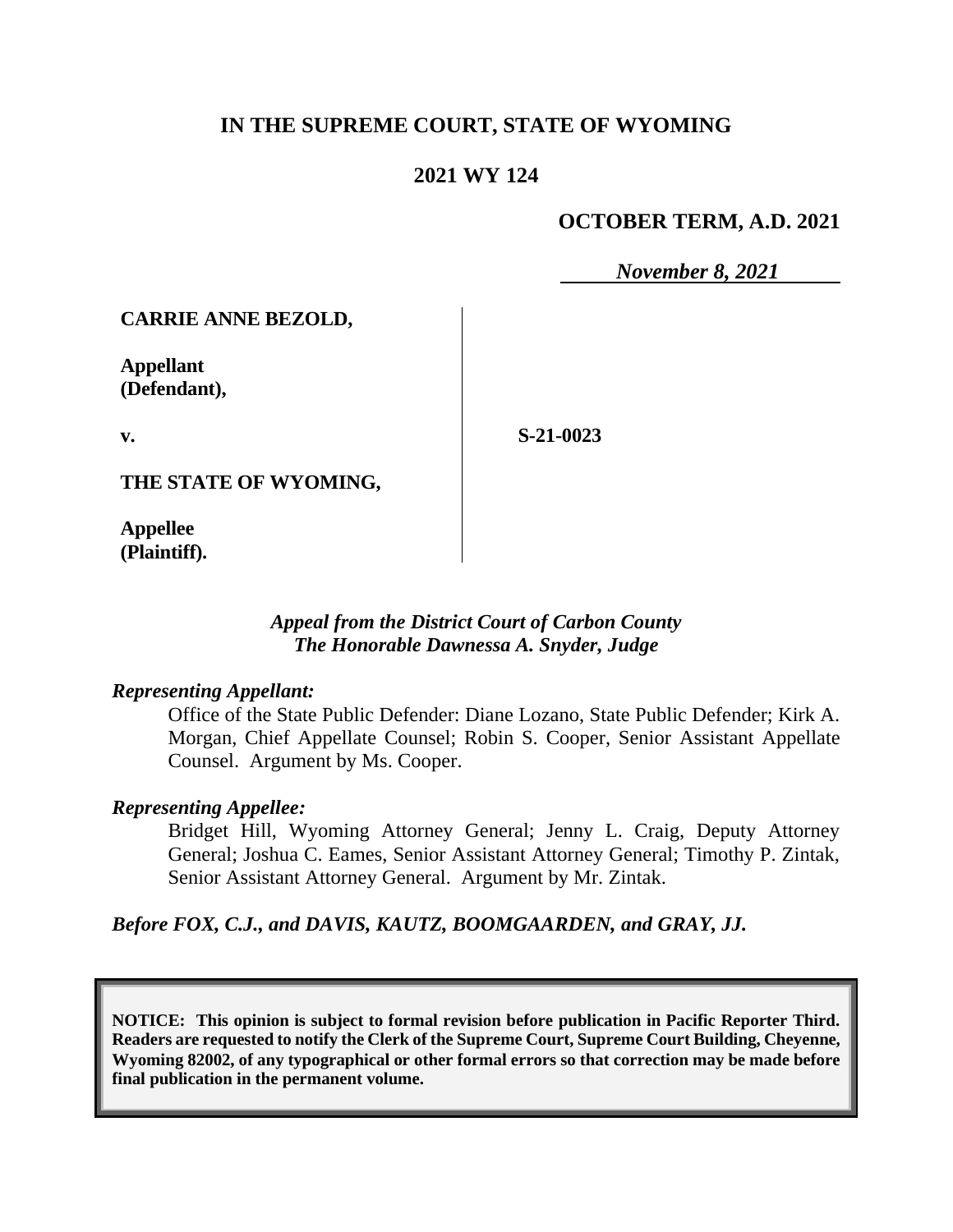# **IN THE SUPREME COURT, STATE OF WYOMING**

## **2021 WY 124**

# **OCTOBER TERM, A.D. 2021**

*November 8, 2021*

**CARRIE ANNE BEZOLD,**

**Appellant (Defendant),**

**v.**

**S-21-0023**

**THE STATE OF WYOMING,**

**Appellee (Plaintiff).**

> *Appeal from the District Court of Carbon County The Honorable Dawnessa A. Snyder, Judge*

#### *Representing Appellant:*

Office of the State Public Defender: Diane Lozano, State Public Defender; Kirk A. Morgan, Chief Appellate Counsel; Robin S. Cooper, Senior Assistant Appellate Counsel. Argument by Ms. Cooper.

#### *Representing Appellee:*

Bridget Hill, Wyoming Attorney General; Jenny L. Craig, Deputy Attorney General; Joshua C. Eames, Senior Assistant Attorney General; Timothy P. Zintak, Senior Assistant Attorney General. Argument by Mr. Zintak.

*Before FOX, C.J., and DAVIS, KAUTZ, BOOMGAARDEN, and GRAY, JJ.*

**NOTICE: This opinion is subject to formal revision before publication in Pacific Reporter Third. Readers are requested to notify the Clerk of the Supreme Court, Supreme Court Building, Cheyenne, Wyoming 82002, of any typographical or other formal errors so that correction may be made before final publication in the permanent volume.**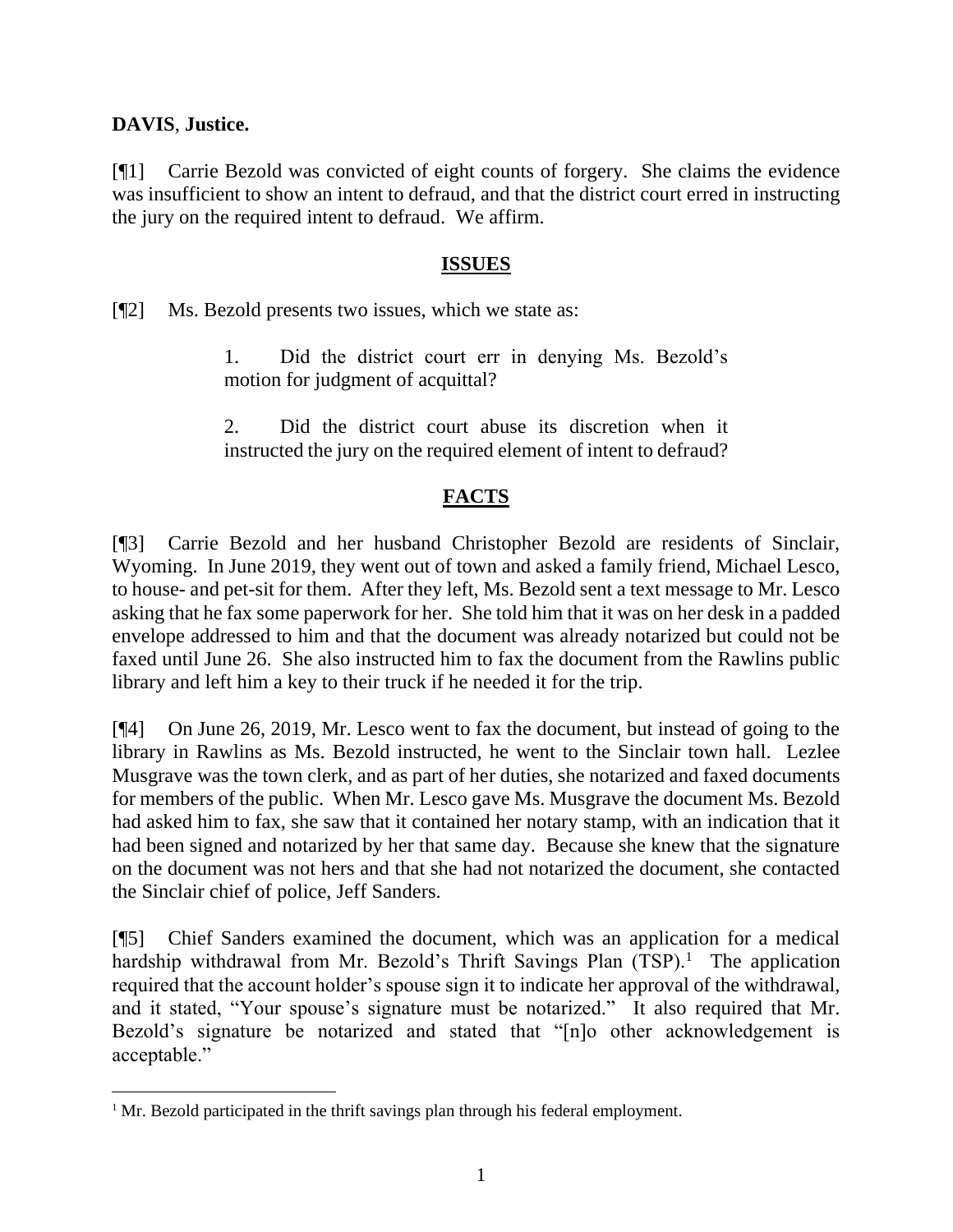## **DAVIS**, **Justice.**

[¶1] Carrie Bezold was convicted of eight counts of forgery. She claims the evidence was insufficient to show an intent to defraud, and that the district court erred in instructing the jury on the required intent to defraud. We affirm.

#### **ISSUES**

[¶2] Ms. Bezold presents two issues, which we state as:

1. Did the district court err in denying Ms. Bezold's motion for judgment of acquittal?

2. Did the district court abuse its discretion when it instructed the jury on the required element of intent to defraud?

# **FACTS**

[¶3] Carrie Bezold and her husband Christopher Bezold are residents of Sinclair, Wyoming. In June 2019, they went out of town and asked a family friend, Michael Lesco, to house- and pet-sit for them. After they left, Ms. Bezold sent a text message to Mr. Lesco asking that he fax some paperwork for her. She told him that it was on her desk in a padded envelope addressed to him and that the document was already notarized but could not be faxed until June 26. She also instructed him to fax the document from the Rawlins public library and left him a key to their truck if he needed it for the trip.

[¶4] On June 26, 2019, Mr. Lesco went to fax the document, but instead of going to the library in Rawlins as Ms. Bezold instructed, he went to the Sinclair town hall. Lezlee Musgrave was the town clerk, and as part of her duties, she notarized and faxed documents for members of the public. When Mr. Lesco gave Ms. Musgrave the document Ms. Bezold had asked him to fax, she saw that it contained her notary stamp, with an indication that it had been signed and notarized by her that same day. Because she knew that the signature on the document was not hers and that she had not notarized the document, she contacted the Sinclair chief of police, Jeff Sanders.

[¶5] Chief Sanders examined the document, which was an application for a medical hardship withdrawal from Mr. Bezold's Thrift Savings Plan  $(TSP)$ .<sup>1</sup> The application required that the account holder's spouse sign it to indicate her approval of the withdrawal, and it stated, "Your spouse's signature must be notarized." It also required that Mr. Bezold's signature be notarized and stated that "[n]o other acknowledgement is acceptable."

<sup>&</sup>lt;sup>1</sup> Mr. Bezold participated in the thrift savings plan through his federal employment.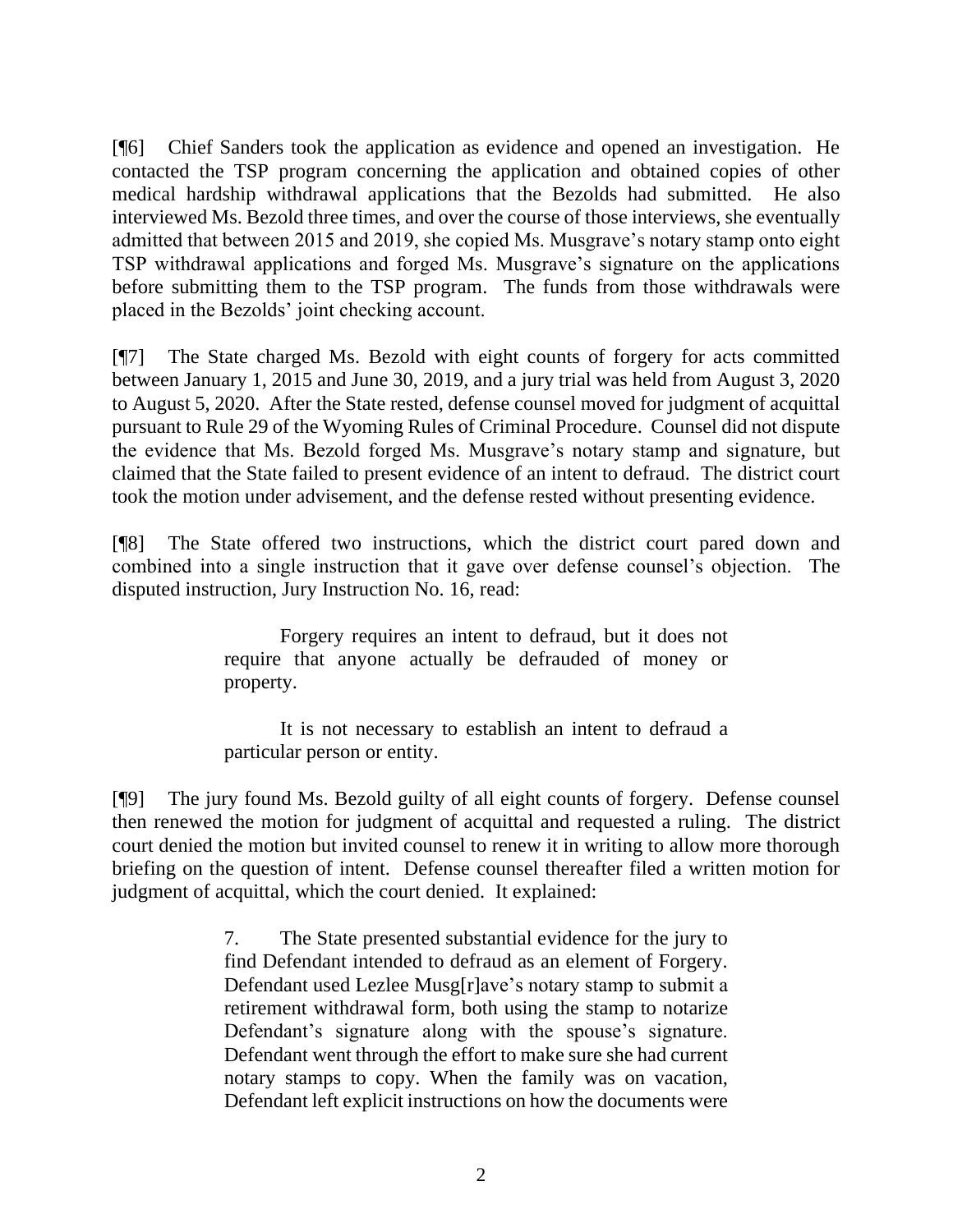[¶6] Chief Sanders took the application as evidence and opened an investigation. He contacted the TSP program concerning the application and obtained copies of other medical hardship withdrawal applications that the Bezolds had submitted. He also interviewed Ms. Bezold three times, and over the course of those interviews, she eventually admitted that between 2015 and 2019, she copied Ms. Musgrave's notary stamp onto eight TSP withdrawal applications and forged Ms. Musgrave's signature on the applications before submitting them to the TSP program. The funds from those withdrawals were placed in the Bezolds' joint checking account.

[¶7] The State charged Ms. Bezold with eight counts of forgery for acts committed between January 1, 2015 and June 30, 2019, and a jury trial was held from August 3, 2020 to August 5, 2020. After the State rested, defense counsel moved for judgment of acquittal pursuant to [Rule 29 of the Wyoming Rules of Criminal Procedure.](http://www.westlaw.com/Link/Document/FullText?findType=L&pubNum=1008764&cite=WYRRCRPR29&originatingDoc=I2437d710fee411eb9a25ff506e9163fd&refType=LQ&originationContext=document&vr=3.0&rs=cblt1.0&transitionType=DocumentItem&contextData=(sc.Search)) Counsel did not dispute the evidence that Ms. Bezold forged Ms. Musgrave's notary stamp and signature, but claimed that the State failed to present evidence of an intent to defraud. The district court took the motion under advisement, and the defense rested without presenting evidence.

[¶8] The State offered two instructions, which the district court pared down and combined into a single instruction that it gave over defense counsel's objection. The disputed instruction, Jury Instruction No. 16, read:

> Forgery requires an intent to defraud, but it does not require that anyone actually be defrauded of money or property.

> It is not necessary to establish an intent to defraud a particular person or entity.

[¶9] The jury found Ms. Bezold guilty of all eight counts of forgery. Defense counsel then renewed the motion for judgment of acquittal and requested a ruling. The district court denied the motion but invited counsel to renew it in writing to allow more thorough briefing on the question of intent. Defense counsel thereafter filed a written motion for judgment of acquittal, which the court denied. It explained:

> 7. The State presented substantial evidence for the jury to find Defendant intended to defraud as an element of Forgery. Defendant used Lezlee Musg[r]ave's notary stamp to submit a retirement withdrawal form, both using the stamp to notarize Defendant's signature along with the spouse's signature. Defendant went through the effort to make sure she had current notary stamps to copy. When the family was on vacation, Defendant left explicit instructions on how the documents were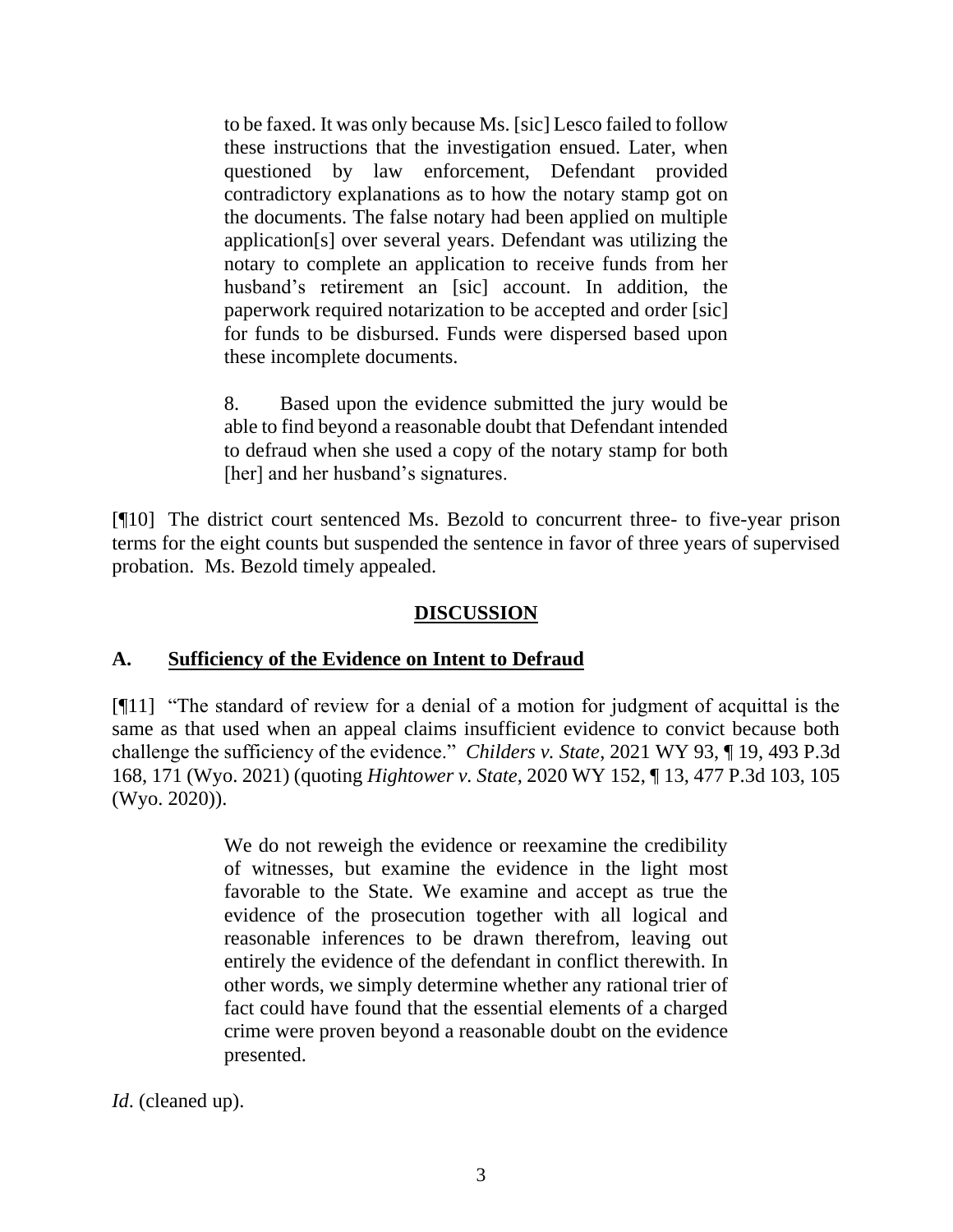to be faxed. It was only because Ms. [sic] Lesco failed to follow these instructions that the investigation ensued. Later, when questioned by law enforcement, Defendant provided contradictory explanations as to how the notary stamp got on the documents. The false notary had been applied on multiple application[s] over several years. Defendant was utilizing the notary to complete an application to receive funds from her husband's retirement an [sic] account. In addition, the paperwork required notarization to be accepted and order [sic] for funds to be disbursed. Funds were dispersed based upon these incomplete documents.

8. Based upon the evidence submitted the jury would be able to find beyond a reasonable doubt that Defendant intended to defraud when she used a copy of the notary stamp for both [her] and her husband's signatures.

[¶10] The district court sentenced Ms. Bezold to concurrent three- to five-year prison terms for the eight counts but suspended the sentence in favor of three years of supervised probation. Ms. Bezold timely appealed.

# **DISCUSSION**

## **A. Sufficiency of the Evidence on Intent to Defraud**

[¶11] "The standard of review for a denial of a motion for judgment of acquittal is the same as that used when an appeal claims insufficient evidence to convict because both challenge the sufficiency of the evidence." *Childers v. State*, 2021 WY 93, ¶ 19, 493 P.3d 168, 171 (Wyo. 2021) (quoting *Hightower v. State*[, 2020 WY 152, ¶ 13, 477 P.3d 103, 105](http://www.westlaw.com/Link/Document/FullText?findType=Y&serNum=2052580071&pubNum=0004645&originatingDoc=I2437d710fee411eb9a25ff506e9163fd&refType=RP&fi=co_pp_sp_4645_105&originationContext=document&vr=3.0&rs=cblt1.0&transitionType=DocumentItem&contextData=(sc.Search)#co_pp_sp_4645_105)  [\(Wyo. 2020\)\)](http://www.westlaw.com/Link/Document/FullText?findType=Y&serNum=2052580071&pubNum=0004645&originatingDoc=I2437d710fee411eb9a25ff506e9163fd&refType=RP&fi=co_pp_sp_4645_105&originationContext=document&vr=3.0&rs=cblt1.0&transitionType=DocumentItem&contextData=(sc.Search)#co_pp_sp_4645_105).

> We do not reweigh the evidence or reexamine the credibility of witnesses, but examine the evidence in the light most favorable to the State. We examine and accept as true the evidence of the prosecution together with all logical and reasonable inferences to be drawn therefrom, leaving out entirely the evidence of the defendant in conflict therewith. In other words, we simply determine whether any rational trier of fact could have found that the essential elements of a charged crime were proven beyond a reasonable doubt on the evidence presented.

*Id*. (cleaned up).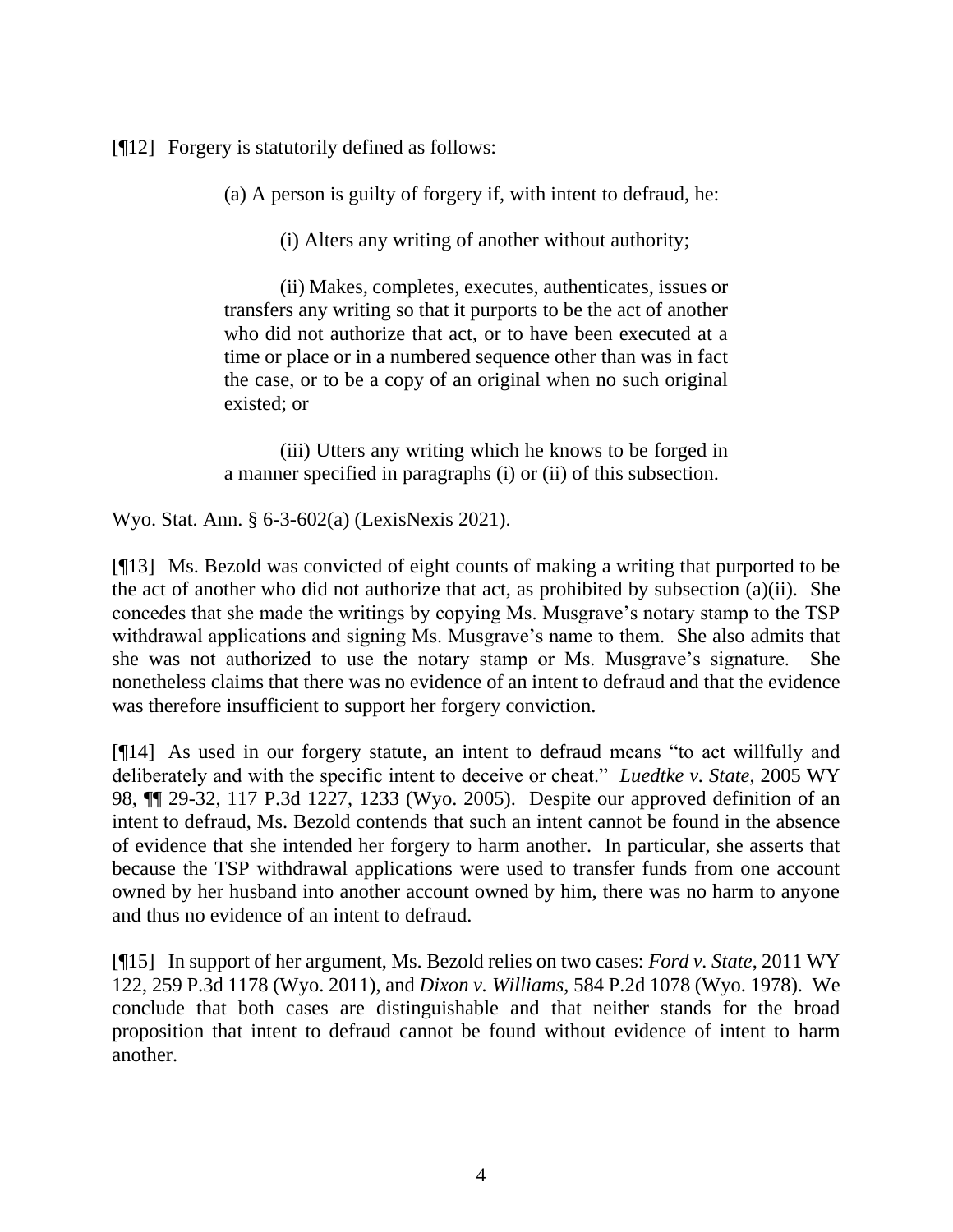[¶12] Forgery is statutorily defined as follows:

(a) A person is guilty of forgery if, with intent to defraud, he:

(i) Alters any writing of another without authority;

(ii) Makes, completes, executes, authenticates, issues or transfers any writing so that it purports to be the act of another who did not authorize that act, or to have been executed at a time or place or in a numbered sequence other than was in fact the case, or to be a copy of an original when no such original existed; or

(iii) Utters any writing which he knows to be forged in a manner specified in paragraphs (i) or (ii) of this subsection.

Wyo. Stat. Ann. § 6-3-602(a) (LexisNexis 2021).

[¶13] Ms. Bezold was convicted of eight counts of making a writing that purported to be the act of another who did not authorize that act, as prohibited by subsection (a)(ii). She concedes that she made the writings by copying Ms. Musgrave's notary stamp to the TSP withdrawal applications and signing Ms. Musgrave's name to them. She also admits that she was not authorized to use the notary stamp or Ms. Musgrave's signature. She nonetheless claims that there was no evidence of an intent to defraud and that the evidence was therefore insufficient to support her forgery conviction.

[¶14] As used in our forgery statute, an intent to defraud means "to act willfully and deliberately and with the specific intent to deceive or cheat." *Luedtke v. State*, 2005 WY 98, ¶¶ 29-32, 117 P.3d 1227, 1233 (Wyo. 2005). Despite our approved definition of an intent to defraud, Ms. Bezold contends that such an intent cannot be found in the absence of evidence that she intended her forgery to harm another. In particular, she asserts that because the TSP withdrawal applications were used to transfer funds from one account owned by her husband into another account owned by him, there was no harm to anyone and thus no evidence of an intent to defraud.

[¶15] In support of her argument, Ms. Bezold relies on two cases: *Ford v. State*, 2011 WY 122, 259 P.3d 1178 (Wyo. 2011), and *Dixon v. Williams*, 584 P.2d 1078 (Wyo. 1978). We conclude that both cases are distinguishable and that neither stands for the broad proposition that intent to defraud cannot be found without evidence of intent to harm another.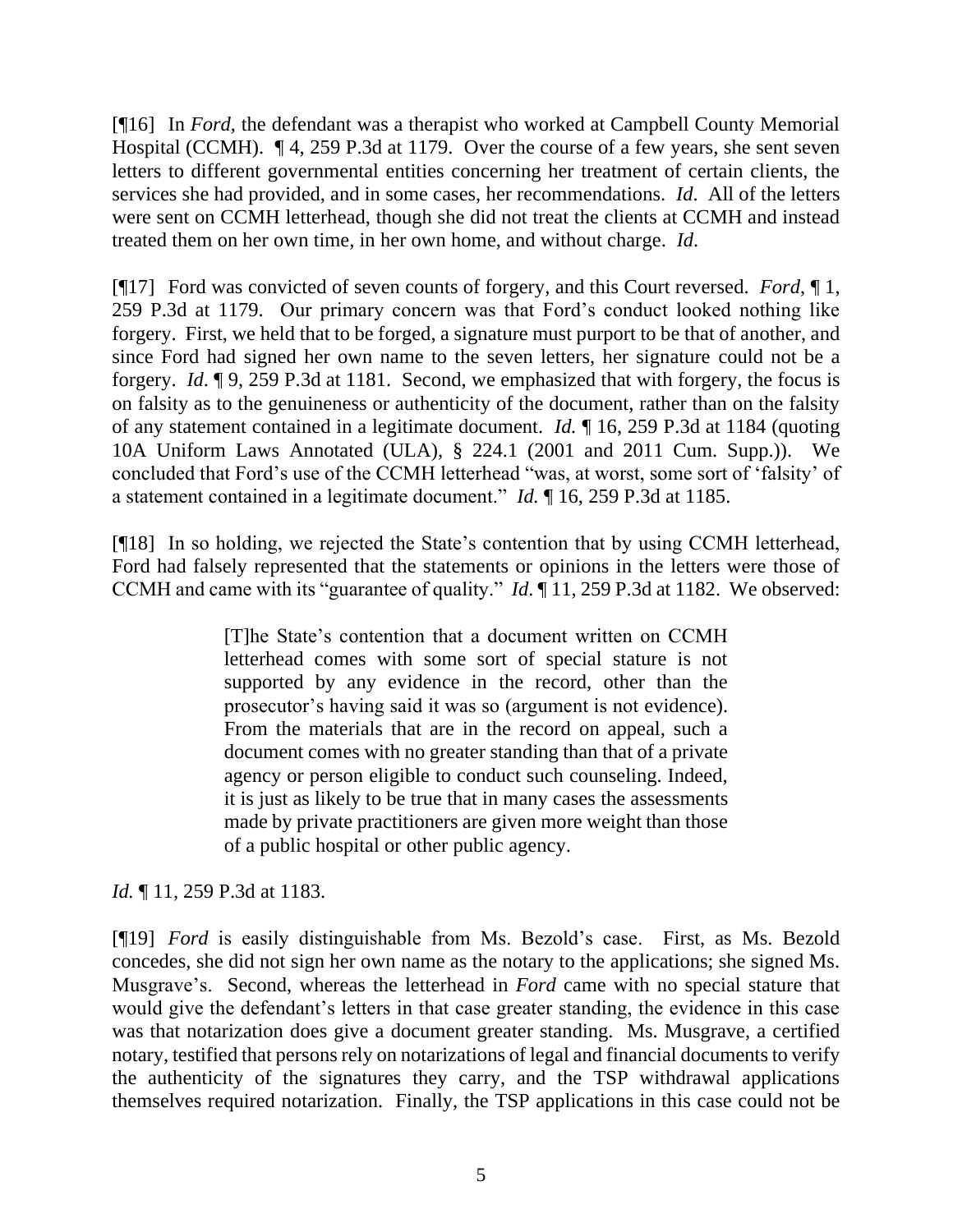[¶16] In *Ford*, the defendant was a therapist who worked at Campbell County Memorial Hospital (CCMH). ¶ 4, 259 P.3d at 1179. Over the course of a few years, she sent seven letters to different governmental entities concerning her treatment of certain clients, the services she had provided, and in some cases, her recommendations. *Id*. All of the letters were sent on CCMH letterhead, though she did not treat the clients at CCMH and instead treated them on her own time, in her own home, and without charge. *Id*.

[¶17] Ford was convicted of seven counts of forgery, and this Court reversed. *Ford*, ¶ 1, 259 P.3d at 1179. Our primary concern was that Ford's conduct looked nothing like forgery. First, we held that to be forged, a signature must purport to be that of another, and since Ford had signed her own name to the seven letters, her signature could not be a forgery. *Id*. ¶ 9, 259 P.3d at 1181. Second, we emphasized that with forgery, the focus is on falsity as to the genuineness or authenticity of the document, rather than on the falsity of any statement contained in a legitimate document. *Id.* ¶ 16, 259 P.3d at 1184 (quoting 10A Uniform Laws Annotated (ULA), § 224.1 (2001 and 2011 Cum. Supp.)). We concluded that Ford's use of the CCMH letterhead "was, at worst, some sort of 'falsity' of a statement contained in a legitimate document." *Id.* ¶ 16, 259 P.3d at 1185.

[¶18] In so holding, we rejected the State's contention that by using CCMH letterhead, Ford had falsely represented that the statements or opinions in the letters were those of CCMH and came with its "guarantee of quality." *Id*. ¶ 11, 259 P.3d at 1182. We observed:

> [T]he State's contention that a document written on CCMH letterhead comes with some sort of special stature is not supported by any evidence in the record, other than the prosecutor's having said it was so (argument is not evidence). From the materials that are in the record on appeal, such a document comes with no greater standing than that of a private agency or person eligible to conduct such counseling. Indeed, it is just as likely to be true that in many cases the assessments made by private practitioners are given more weight than those of a public hospital or other public agency.

*Id.* 11, 259 P.3d at 1183.

[¶19] *Ford* is easily distinguishable from Ms. Bezold's case. First, as Ms. Bezold concedes, she did not sign her own name as the notary to the applications; she signed Ms. Musgrave's. Second, whereas the letterhead in *Ford* came with no special stature that would give the defendant's letters in that case greater standing, the evidence in this case was that notarization does give a document greater standing. Ms. Musgrave, a certified notary, testified that persons rely on notarizations of legal and financial documents to verify the authenticity of the signatures they carry, and the TSP withdrawal applications themselves required notarization. Finally, the TSP applications in this case could not be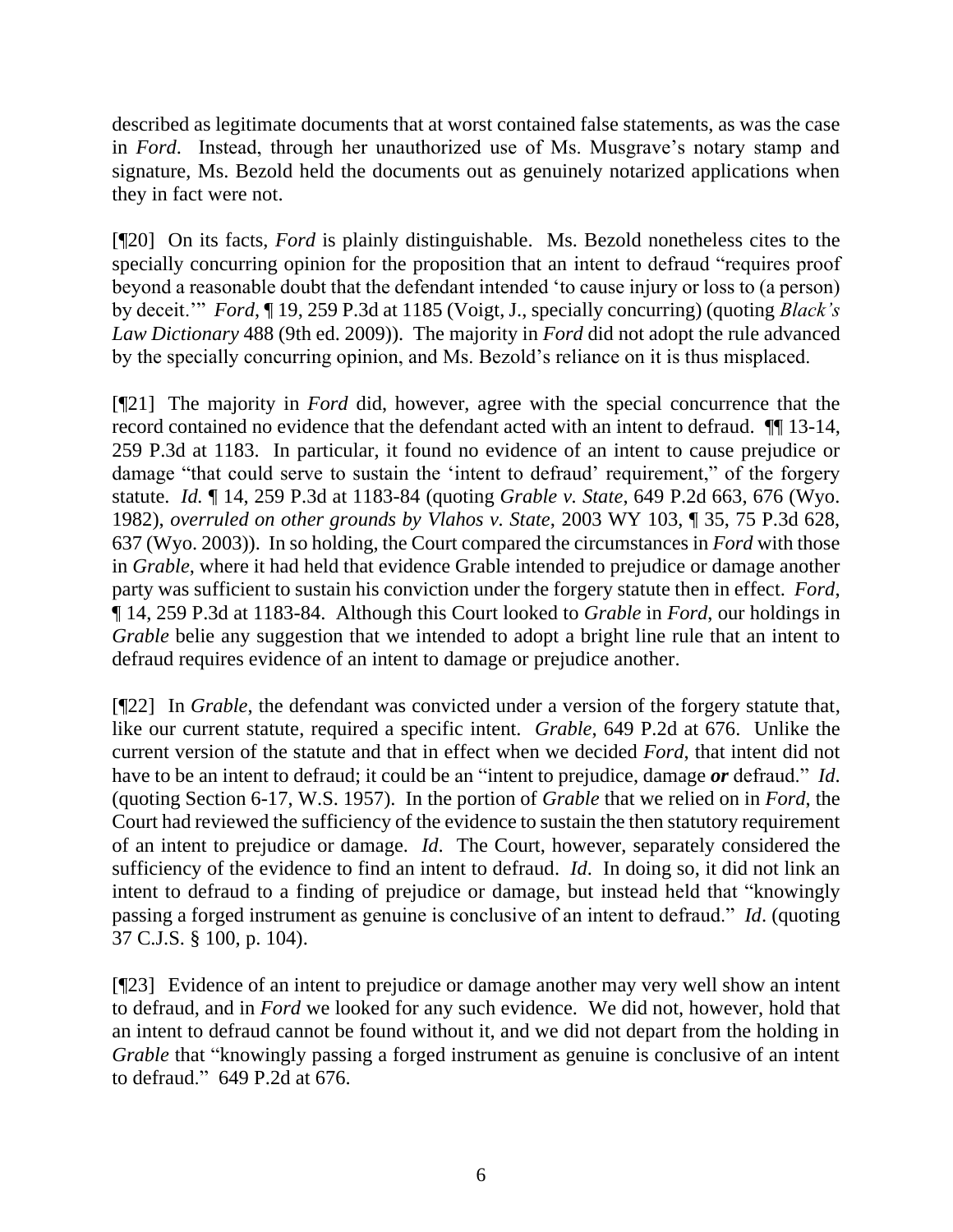described as legitimate documents that at worst contained false statements, as was the case in *Ford*. Instead, through her unauthorized use of Ms. Musgrave's notary stamp and signature, Ms. Bezold held the documents out as genuinely notarized applications when they in fact were not.

[¶20] On its facts, *Ford* is plainly distinguishable. Ms. Bezold nonetheless cites to the specially concurring opinion for the proposition that an intent to defraud "requires proof beyond a reasonable doubt that the defendant intended 'to cause injury or loss to (a person) by deceit.'" *Ford*, ¶ 19, 259 P.3d at 1185 (Voigt, J., specially concurring) (quoting *Black's Law Dictionary* 488 (9th ed. 2009)). The majority in *Ford* did not adopt the rule advanced by the specially concurring opinion, and Ms. Bezold's reliance on it is thus misplaced.

[¶21] The majority in *Ford* did, however, agree with the special concurrence that the record contained no evidence that the defendant acted with an intent to defraud. ¶¶ 13-14, 259 P.3d at 1183. In particular, it found no evidence of an intent to cause prejudice or damage "that could serve to sustain the 'intent to defraud' requirement," of the forgery statute. *Id.* ¶ 14, 259 P.3d at 1183-84 (quoting *Grable v. State*[, 649 P.2d 663, 676 \(Wyo.](http://www.westlaw.com/Link/Document/FullText?findType=Y&serNum=1982136498&pubNum=0000661&originatingDoc=Ie1c326cccef411e0be8fdb5fa26a1033&refType=RP&fi=co_pp_sp_661_676&originationContext=document&vr=3.0&rs=cblt1.0&transitionType=DocumentItem&contextData=(sc.Keycite)#co_pp_sp_661_676)  [1982\),](http://www.westlaw.com/Link/Document/FullText?findType=Y&serNum=1982136498&pubNum=0000661&originatingDoc=Ie1c326cccef411e0be8fdb5fa26a1033&refType=RP&fi=co_pp_sp_661_676&originationContext=document&vr=3.0&rs=cblt1.0&transitionType=DocumentItem&contextData=(sc.Keycite)#co_pp_sp_661_676) *overruled on other grounds by Vlahos v. State*, 2003 WY 103, ¶ 35, 75 P.3d 628, 637 (Wyo. 2003)). In so holding, the Court compared the circumstances in *Ford* with those in *Grable*, where it had held that evidence Grable intended to prejudice or damage another party was sufficient to sustain his conviction under the forgery statute then in effect. *Ford*, ¶ 14, 259 P.3d at 1183-84. Although this Court looked to *Grable* in *Ford*, our holdings in *Grable* belie any suggestion that we intended to adopt a bright line rule that an intent to defraud requires evidence of an intent to damage or prejudice another.

[¶22] In *Grable*, the defendant was convicted under a version of the forgery statute that, like our current statute, required a specific intent. *Grable*, 649 P.2d at 676. Unlike the current version of the statute and that in effect when we decided *Ford*, that intent did not have to be an intent to defraud; it could be an "intent to prejudice, damage *or* defraud." *Id*. (quoting [Section 6-](http://www.westlaw.com/Link/Document/FullText?findType=L&pubNum=1000377&cite=WYSTS6&originatingDoc=I7f1db50ff53711d99439b076ef9ec4de&refType=LQ&originationContext=document&vr=3.0&rs=cblt1.0&transitionType=DocumentItem&contextData=(sc.Keycite))17, W.S. 1957). In the portion of *Grable* that we relied on in *Ford*, the Court had reviewed the sufficiency of the evidence to sustain the then statutory requirement of an intent to prejudice or damage. *Id*. The Court, however, separately considered the sufficiency of the evidence to find an intent to defraud. *Id*. In doing so, it did not link an intent to defraud to a finding of prejudice or damage, but instead held that "knowingly passing a forged instrument as genuine is conclusive of an intent to defraud." *Id*. (quoting 37 C.J.S. § 100, p. 104).

[¶23] Evidence of an intent to prejudice or damage another may very well show an intent to defraud, and in *Ford* we looked for any such evidence. We did not, however, hold that an intent to defraud cannot be found without it, and we did not depart from the holding in *Grable* that "knowingly passing a forged instrument as genuine is conclusive of an intent to defraud." 649 P.2d at 676.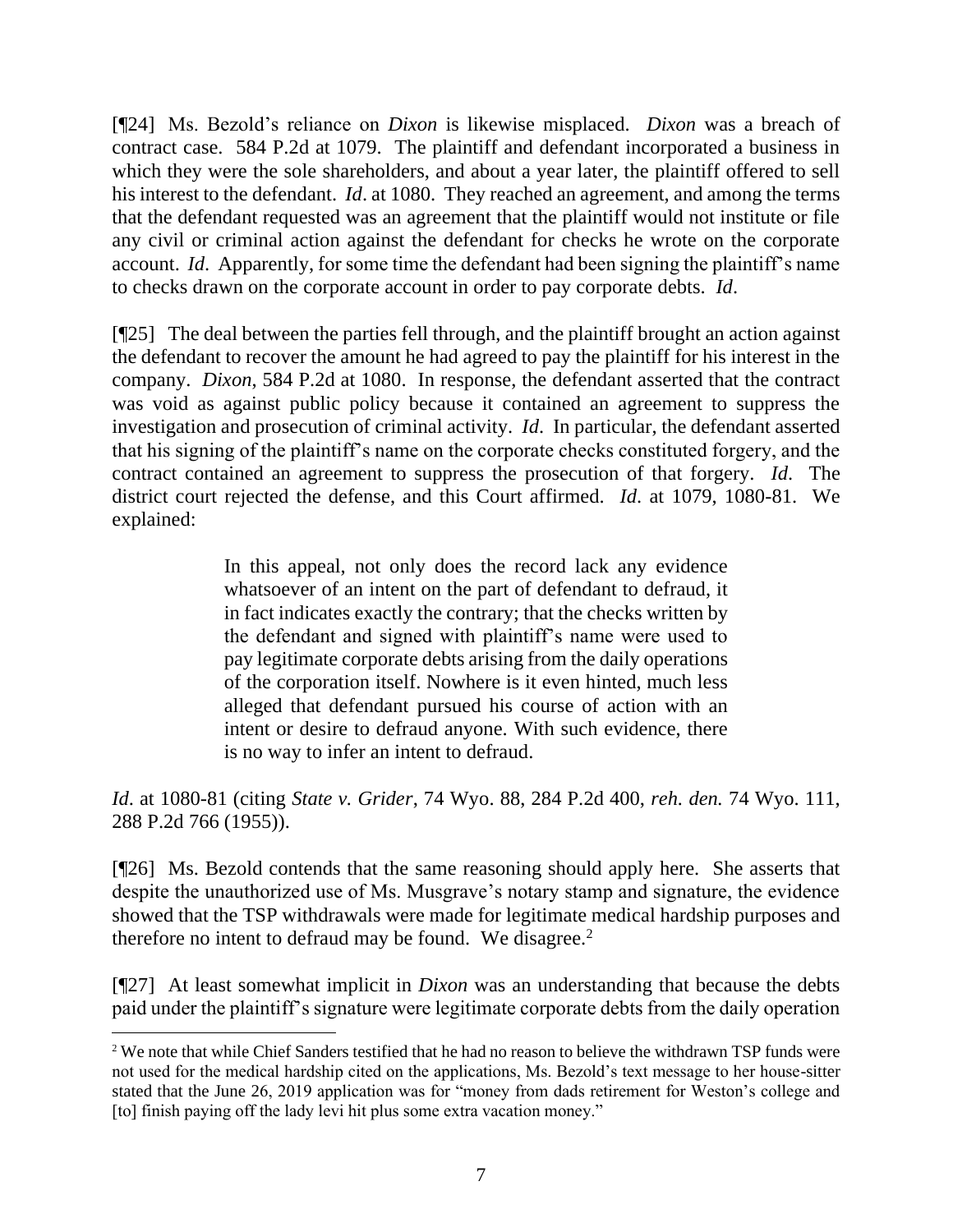[¶24] Ms. Bezold's reliance on *Dixon* is likewise misplaced. *Dixon* was a breach of contract case. 584 P.2d at 1079. The plaintiff and defendant incorporated a business in which they were the sole shareholders, and about a year later, the plaintiff offered to sell his interest to the defendant. *Id*. at 1080. They reached an agreement, and among the terms that the defendant requested was an agreement that the plaintiff would not institute or file any civil or criminal action against the defendant for checks he wrote on the corporate account. *Id*. Apparently, for some time the defendant had been signing the plaintiff's name to checks drawn on the corporate account in order to pay corporate debts. *Id*.

[¶25] The deal between the parties fell through, and the plaintiff brought an action against the defendant to recover the amount he had agreed to pay the plaintiff for his interest in the company. *Dixon*, 584 P.2d at 1080. In response, the defendant asserted that the contract was void as against public policy because it contained an agreement to suppress the investigation and prosecution of criminal activity. *Id*. In particular, the defendant asserted that his signing of the plaintiff's name on the corporate checks constituted forgery, and the contract contained an agreement to suppress the prosecution of that forgery. *Id*. The district court rejected the defense, and this Court affirmed. *Id*. at 1079, 1080-81. We explained:

> In this appeal, not only does the record lack any evidence whatsoever of an intent on the part of defendant to defraud, it in fact indicates exactly the contrary; that the checks written by the defendant and signed with plaintiff's name were used to pay legitimate corporate debts arising from the daily operations of the corporation itself. Nowhere is it even hinted, much less alleged that defendant pursued his course of action with an intent or desire to defraud anyone. With such evidence, there is no way to infer an intent to defraud.

*Id*. at 1080-81 (citing *[State v. Grider](http://www.westlaw.com/Link/Document/FullText?findType=Y&pubNum=832&cite=74WY88&originatingDoc=I123f840af77f11d9bf60c1d57ebc853e&refType=RP&originationContext=document&vr=3.0&rs=cblt1.0&transitionType=DocumentItem&contextData=(sc.UserEnteredCitation))*, 74 Wyo. 88, [284 P.2d 400,](http://www.westlaw.com/Link/Document/FullText?findType=Y&serNum=1955103432&pubNum=661&originatingDoc=I123f840af77f11d9bf60c1d57ebc853e&refType=RP&originationContext=document&vr=3.0&rs=cblt1.0&transitionType=DocumentItem&contextData=(sc.UserEnteredCitation)) *reh. den.* [74 Wyo. 111,](http://www.westlaw.com/Link/Document/FullText?findType=Y&serNum=1955103432&pubNum=832&originatingDoc=I123f840af77f11d9bf60c1d57ebc853e&refType=RP&originationContext=document&vr=3.0&rs=cblt1.0&transitionType=DocumentItem&contextData=(sc.UserEnteredCitation)) [288 P.2d 766](http://www.westlaw.com/Link/Document/FullText?findType=Y&serNum=1955125780&pubNum=661&originatingDoc=I123f840af77f11d9bf60c1d57ebc853e&refType=RP&originationContext=document&vr=3.0&rs=cblt1.0&transitionType=DocumentItem&contextData=(sc.UserEnteredCitation)) (1955)).

[¶26] Ms. Bezold contends that the same reasoning should apply here. She asserts that despite the unauthorized use of Ms. Musgrave's notary stamp and signature, the evidence showed that the TSP withdrawals were made for legitimate medical hardship purposes and therefore no intent to defraud may be found. We disagree. $2$ 

[¶27] At least somewhat implicit in *Dixon* was an understanding that because the debts paid under the plaintiff's signature were legitimate corporate debts from the daily operation

<sup>&</sup>lt;sup>2</sup> We note that while Chief Sanders testified that he had no reason to believe the withdrawn TSP funds were not used for the medical hardship cited on the applications, Ms. Bezold's text message to her house-sitter stated that the June 26, 2019 application was for "money from dads retirement for Weston's college and [to] finish paying off the lady levi hit plus some extra vacation money."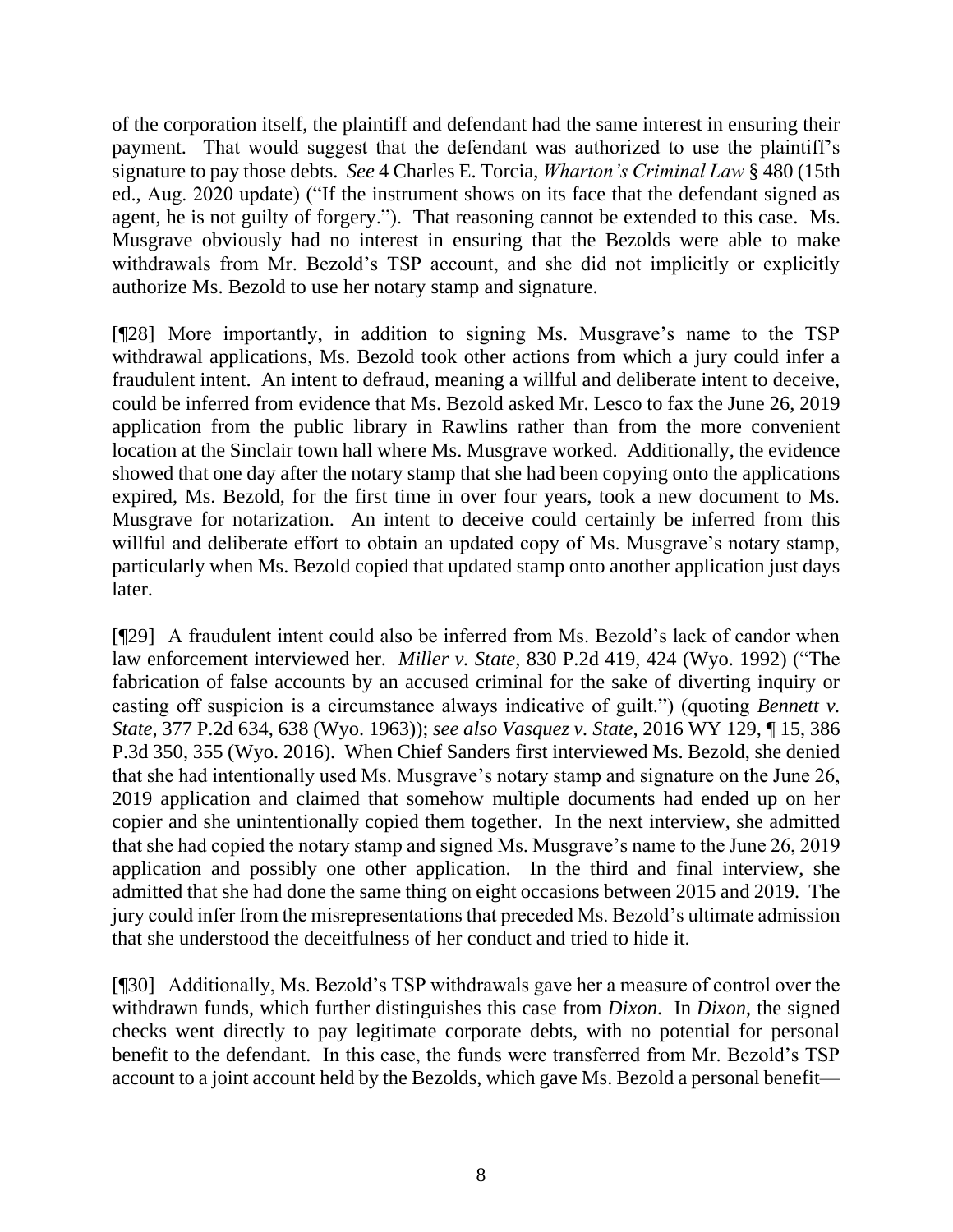of the corporation itself, the plaintiff and defendant had the same interest in ensuring their payment. That would suggest that the defendant was authorized to use the plaintiff's signature to pay those debts. *See* 4 Charles E. Torcia, *Wharton's Criminal Law* § 480 (15th ed., Aug. 2020 update) ("If the instrument shows on its face that the defendant signed as agent, he is not guilty of forgery."). That reasoning cannot be extended to this case. Ms. Musgrave obviously had no interest in ensuring that the Bezolds were able to make withdrawals from Mr. Bezold's TSP account, and she did not implicitly or explicitly authorize Ms. Bezold to use her notary stamp and signature.

[¶28] More importantly, in addition to signing Ms. Musgrave's name to the TSP withdrawal applications, Ms. Bezold took other actions from which a jury could infer a fraudulent intent. An intent to defraud, meaning a willful and deliberate intent to deceive, could be inferred from evidence that Ms. Bezold asked Mr. Lesco to fax the June 26, 2019 application from the public library in Rawlins rather than from the more convenient location at the Sinclair town hall where Ms. Musgrave worked. Additionally, the evidence showed that one day after the notary stamp that she had been copying onto the applications expired, Ms. Bezold, for the first time in over four years, took a new document to Ms. Musgrave for notarization. An intent to deceive could certainly be inferred from this willful and deliberate effort to obtain an updated copy of Ms. Musgrave's notary stamp, particularly when Ms. Bezold copied that updated stamp onto another application just days later.

[¶29] A fraudulent intent could also be inferred from Ms. Bezold's lack of candor when law enforcement interviewed her. *Miller v. State*, 830 P.2d 419, 424 (Wyo. 1992) ("The fabrication of false accounts by an accused criminal for the sake of diverting inquiry or casting off suspicion is a circumstance always indicative of guilt.") (quoting *[Bennett v.](http://www.westlaw.com/Link/Document/FullText?findType=Y&serNum=1963135644&pubNum=661&originatingDoc=I70480c57f5a111d983e7e9deff98dc6f&refType=RP&fi=co_pp_sp_661_638&originationContext=document&vr=3.0&rs=cblt1.0&transitionType=DocumentItem&contextData=(sc.Search)#co_pp_sp_661_638)  State*[, 377 P.2d 634, 638 \(Wyo. 1963\)\)](http://www.westlaw.com/Link/Document/FullText?findType=Y&serNum=1963135644&pubNum=661&originatingDoc=I70480c57f5a111d983e7e9deff98dc6f&refType=RP&fi=co_pp_sp_661_638&originationContext=document&vr=3.0&rs=cblt1.0&transitionType=DocumentItem&contextData=(sc.Search)#co_pp_sp_661_638); *see also Vasquez v. State*, 2016 WY 129, ¶ 15, 386 P.3d 350, 355 (Wyo. 2016). When Chief Sanders first interviewed Ms. Bezold, she denied that she had intentionally used Ms. Musgrave's notary stamp and signature on the June 26, 2019 application and claimed that somehow multiple documents had ended up on her copier and she unintentionally copied them together. In the next interview, she admitted that she had copied the notary stamp and signed Ms. Musgrave's name to the June 26, 2019 application and possibly one other application. In the third and final interview, she admitted that she had done the same thing on eight occasions between 2015 and 2019. The jury could infer from the misrepresentations that preceded Ms. Bezold's ultimate admission that she understood the deceitfulness of her conduct and tried to hide it.

[¶30] Additionally, Ms. Bezold's TSP withdrawals gave her a measure of control over the withdrawn funds, which further distinguishes this case from *Dixon*. In *Dixon*, the signed checks went directly to pay legitimate corporate debts, with no potential for personal benefit to the defendant. In this case, the funds were transferred from Mr. Bezold's TSP account to a joint account held by the Bezolds, which gave Ms. Bezold a personal benefit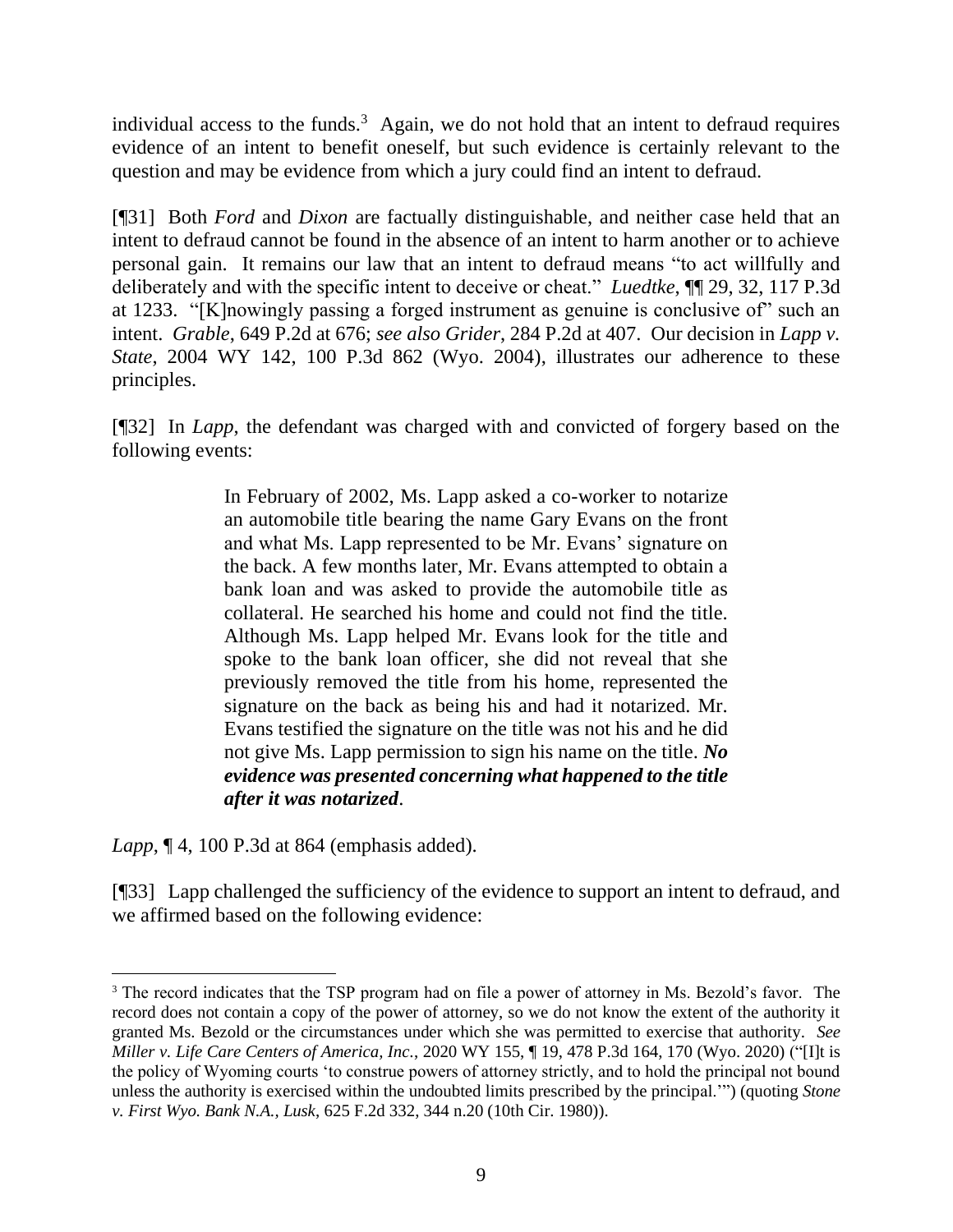individual access to the funds. $3$  Again, we do not hold that an intent to defraud requires evidence of an intent to benefit oneself, but such evidence is certainly relevant to the question and may be evidence from which a jury could find an intent to defraud.

[¶31] Both *Ford* and *Dixon* are factually distinguishable, and neither case held that an intent to defraud cannot be found in the absence of an intent to harm another or to achieve personal gain. It remains our law that an intent to defraud means "to act willfully and deliberately and with the specific intent to deceive or cheat." *Luedtke*, ¶¶ 29, 32, 117 P.3d at 1233. "[K]nowingly passing a forged instrument as genuine is conclusive of" such an intent. *Grable*, 649 P.2d at 676; *see also Grider*, 284 P.2d at 407. Our decision in *Lapp v. State*, 2004 WY 142, 100 P.3d 862 (Wyo. 2004), illustrates our adherence to these principles.

[¶32] In *Lapp*, the defendant was charged with and convicted of forgery based on the following events:

> In February of 2002, Ms. Lapp asked a co-worker to notarize an automobile title bearing the name Gary Evans on the front and what Ms. Lapp represented to be Mr. Evans' signature on the back. A few months later, Mr. Evans attempted to obtain a bank loan and was asked to provide the automobile title as collateral. He searched his home and could not find the title. Although Ms. Lapp helped Mr. Evans look for the title and spoke to the bank loan officer, she did not reveal that she previously removed the title from his home, represented the signature on the back as being his and had it notarized. Mr. Evans testified the signature on the title was not his and he did not give Ms. Lapp permission to sign his name on the title. *No evidence was presented concerning what happened to the title after it was notarized*.

*Lapp*, ¶ 4, 100 P.3d at 864 (emphasis added).

[¶33] Lapp challenged the sufficiency of the evidence to support an intent to defraud, and we affirmed based on the following evidence:

<sup>&</sup>lt;sup>3</sup> The record indicates that the TSP program had on file a power of attorney in Ms. Bezold's favor. The record does not contain a copy of the power of attorney, so we do not know the extent of the authority it granted Ms. Bezold or the circumstances under which she was permitted to exercise that authority. *See Miller v. Life Care Centers of America, Inc.*, 2020 WY 155, ¶ 19, 478 P.3d 164, 170 (Wyo. 2020) ("[I]t is the policy of Wyoming courts 'to construe powers of attorney strictly, and to hold the principal not bound unless the authority is exercised within the undoubted limits prescribed by the principal.'") (quoting *[Stone](http://www.westlaw.com/Link/Document/FullText?findType=Y&serNum=1980118737&pubNum=0000350&originatingDoc=I45e5d520418811eb960a9329eed1cde2&refType=RP&fi=co_pp_sp_350_344&originationContext=document&vr=3.0&rs=cblt1.0&transitionType=DocumentItem&contextData=(sc.Search)#co_pp_sp_350_344)  v. First Wyo. Bank N.A., Lusk*[, 625 F.2d 332, 344 n.20 \(10th Cir. 1980\)\)](http://www.westlaw.com/Link/Document/FullText?findType=Y&serNum=1980118737&pubNum=0000350&originatingDoc=I45e5d520418811eb960a9329eed1cde2&refType=RP&fi=co_pp_sp_350_344&originationContext=document&vr=3.0&rs=cblt1.0&transitionType=DocumentItem&contextData=(sc.Search)#co_pp_sp_350_344).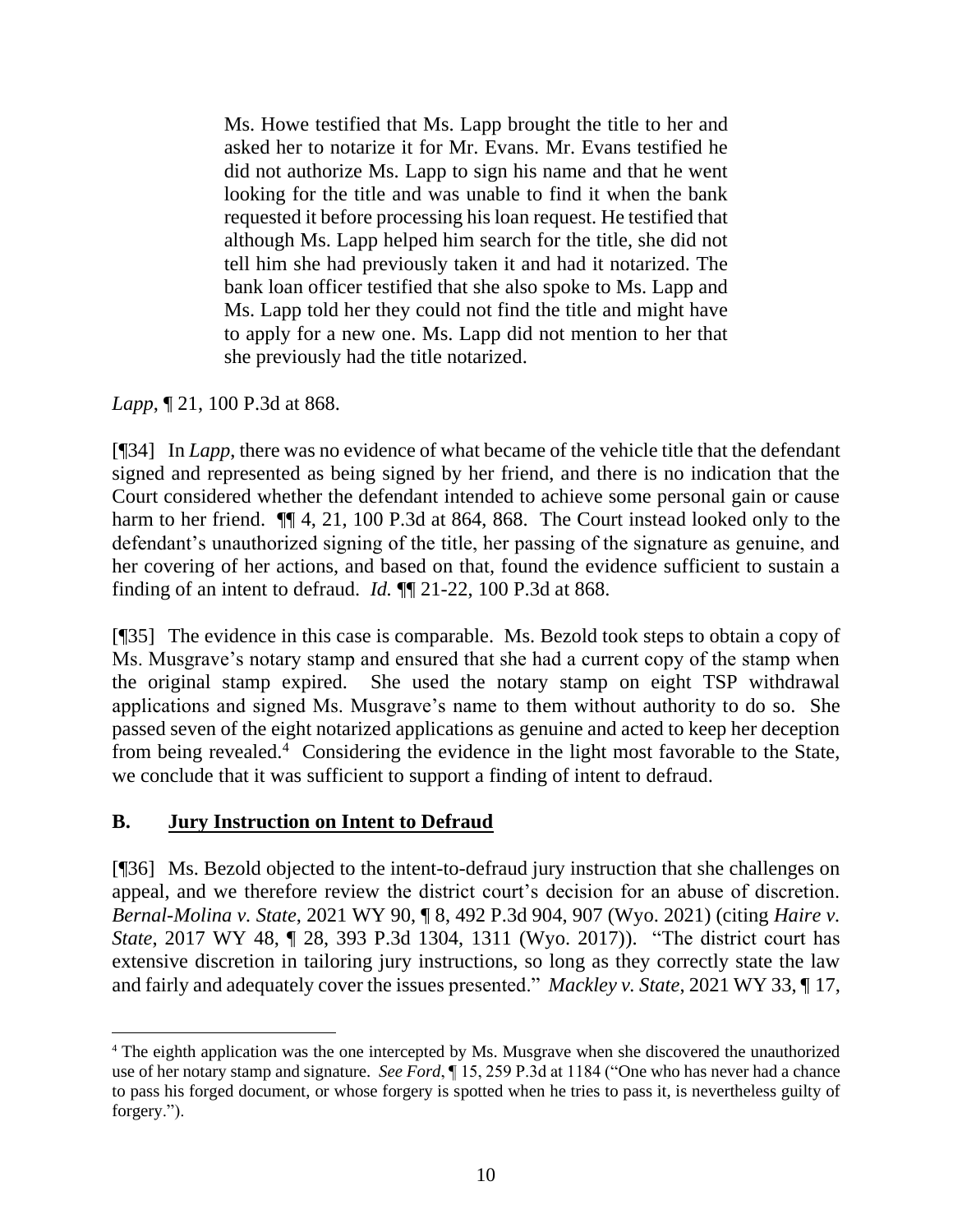Ms. Howe testified that Ms. Lapp brought the title to her and asked her to notarize it for Mr. Evans. Mr. Evans testified he did not authorize Ms. Lapp to sign his name and that he went looking for the title and was unable to find it when the bank requested it before processing his loan request. He testified that although Ms. Lapp helped him search for the title, she did not tell him she had previously taken it and had it notarized. The bank loan officer testified that she also spoke to Ms. Lapp and Ms. Lapp told her they could not find the title and might have to apply for a new one. Ms. Lapp did not mention to her that she previously had the title notarized.

*Lapp*, ¶ 21, 100 P.3d at 868.

[¶34] In *Lapp*, there was no evidence of what became of the vehicle title that the defendant signed and represented as being signed by her friend, and there is no indication that the Court considered whether the defendant intended to achieve some personal gain or cause harm to her friend.  $\P$  4, 21, 100 P.3d at 864, 868. The Court instead looked only to the defendant's unauthorized signing of the title, her passing of the signature as genuine, and her covering of her actions, and based on that, found the evidence sufficient to sustain a finding of an intent to defraud. *Id.* ¶¶ 21-22, 100 P.3d at 868.

[¶35] The evidence in this case is comparable. Ms. Bezold took steps to obtain a copy of Ms. Musgrave's notary stamp and ensured that she had a current copy of the stamp when the original stamp expired. She used the notary stamp on eight TSP withdrawal applications and signed Ms. Musgrave's name to them without authority to do so. She passed seven of the eight notarized applications as genuine and acted to keep her deception from being revealed.<sup>4</sup> Considering the evidence in the light most favorable to the State, we conclude that it was sufficient to support a finding of intent to defraud.

## **B. Jury Instruction on Intent to Defraud**

[¶36] Ms. Bezold objected to the intent-to-defraud jury instruction that she challenges on appeal, and we therefore review the district court's decision for an abuse of discretion. *Bernal-Molina v. State*, 2021 WY 90, ¶ 8, 492 P.3d 904, 907 (Wyo. 2021) (citing *[Haire v.](http://www.westlaw.com/Link/Document/FullText?findType=Y&serNum=2041602645&pubNum=0004645&originatingDoc=I88774e60f56e11ebbb39f6d769114351&refType=RP&fi=co_pp_sp_4645_1311&originationContext=document&vr=3.0&rs=cblt1.0&transitionType=DocumentItem&contextData=(sc.UserEnteredCitation)#co_pp_sp_4645_1311)  State*[, 2017 WY 48, ¶ 28, 393 P.3d 1304, 1311 \(Wyo. 2017\)\)](http://www.westlaw.com/Link/Document/FullText?findType=Y&serNum=2041602645&pubNum=0004645&originatingDoc=I88774e60f56e11ebbb39f6d769114351&refType=RP&fi=co_pp_sp_4645_1311&originationContext=document&vr=3.0&rs=cblt1.0&transitionType=DocumentItem&contextData=(sc.UserEnteredCitation)#co_pp_sp_4645_1311). "The district court has extensive discretion in tailoring jury instructions, so long as they correctly state the law and fairly and adequately cover the issues presented." *Mackley v. State*, 2021 WY 33, ¶ 17,

<sup>4</sup> The eighth application was the one intercepted by Ms. Musgrave when she discovered the unauthorized use of her notary stamp and signature. *See Ford*, ¶ 15, 259 P.3d at 1184 ("One who has never had a chance to pass his forged document, or whose forgery is spotted when he tries to pass it, is nevertheless guilty of forgery.").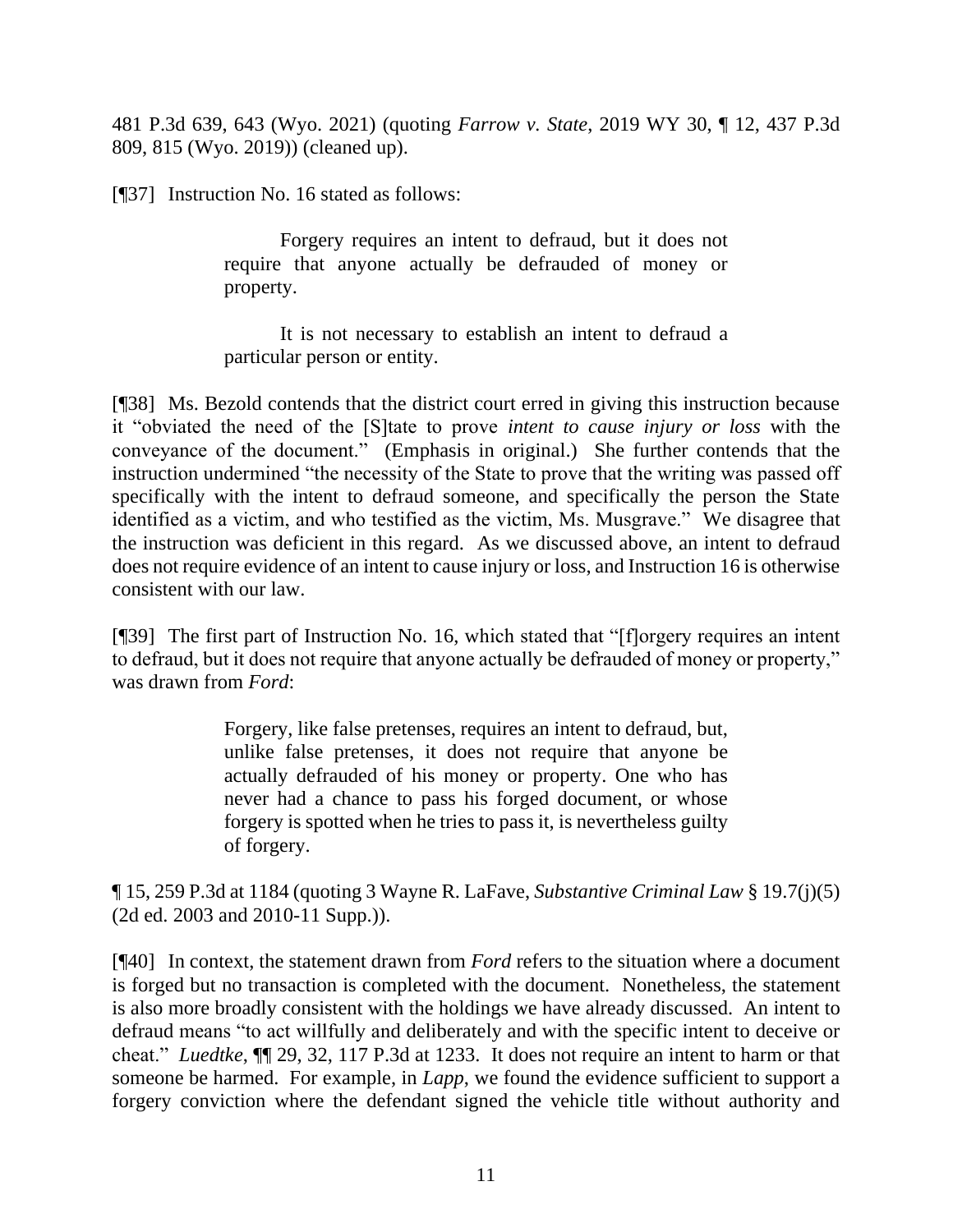481 P.3d 639, 643 (Wyo. 2021) (quoting *Farrow v. State*[, 2019 WY 30, ¶ 12, 437 P.3d](http://www.westlaw.com/Link/Document/FullText?findType=Y&serNum=2047801951&pubNum=0004645&originatingDoc=I87d50250756611ebae408ff11f155a05&refType=RP&fi=co_pp_sp_4645_815&originationContext=document&vr=3.0&rs=cblt1.0&transitionType=DocumentItem&contextData=(sc.UserEnteredCitation)#co_pp_sp_4645_815)  [809, 815 \(Wyo. 2019\)\)](http://www.westlaw.com/Link/Document/FullText?findType=Y&serNum=2047801951&pubNum=0004645&originatingDoc=I87d50250756611ebae408ff11f155a05&refType=RP&fi=co_pp_sp_4645_815&originationContext=document&vr=3.0&rs=cblt1.0&transitionType=DocumentItem&contextData=(sc.UserEnteredCitation)#co_pp_sp_4645_815) (cleaned up).

[¶37] Instruction No. 16 stated as follows:

Forgery requires an intent to defraud, but it does not require that anyone actually be defrauded of money or property.

It is not necessary to establish an intent to defraud a particular person or entity.

[¶38] Ms. Bezold contends that the district court erred in giving this instruction because it "obviated the need of the [S]tate to prove *intent to cause injury or loss* with the conveyance of the document." (Emphasis in original.) She further contends that the instruction undermined "the necessity of the State to prove that the writing was passed off specifically with the intent to defraud someone, and specifically the person the State identified as a victim, and who testified as the victim, Ms. Musgrave." We disagree that the instruction was deficient in this regard. As we discussed above, an intent to defraud does not require evidence of an intent to cause injury or loss, and Instruction 16 is otherwise consistent with our law.

[¶39] The first part of Instruction No. 16, which stated that "[f]orgery requires an intent to defraud, but it does not require that anyone actually be defrauded of money or property," was drawn from *Ford*:

> Forgery, like false pretenses, requires an intent to defraud, but, unlike false pretenses, it does not require that anyone be actually defrauded of his money or property. One who has never had a chance to pass his forged document, or whose forgery is spotted when he tries to pass it, is nevertheless guilty of forgery.

¶ 15, 259 P.3d at 1184 (quoting 3 Wayne R. LaFave, *Substantive Criminal Law* § 19.7(j)(5) (2d ed. 2003 and 2010-11 Supp.)).

[¶40] In context, the statement drawn from *Ford* refers to the situation where a document is forged but no transaction is completed with the document. Nonetheless, the statement is also more broadly consistent with the holdings we have already discussed. An intent to defraud means "to act willfully and deliberately and with the specific intent to deceive or cheat." *Luedtke*, ¶¶ 29, 32, 117 P.3d at 1233. It does not require an intent to harm or that someone be harmed. For example, in *Lapp*, we found the evidence sufficient to support a forgery conviction where the defendant signed the vehicle title without authority and